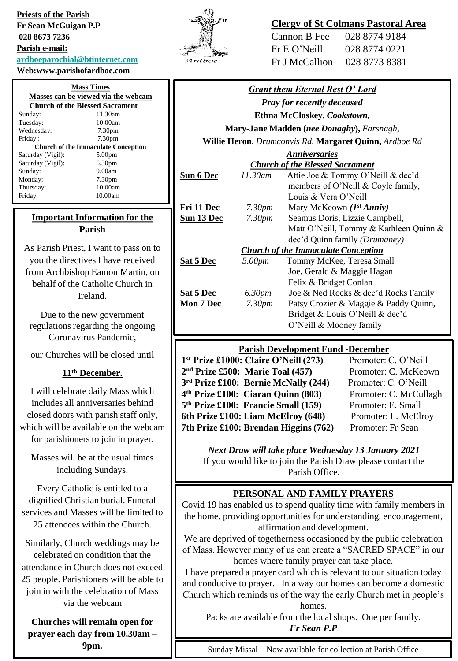**Priests of the Parish Fr Sean McGuigan P.P 028 8673 7236 Parish e-mail: [ardboeparochial@btinternet.com](mailto:ardboeparochial@btinternet.com)**

**Web:www.parishofardboe.com**

| <b>Mass Times</b>                          |                    |  |
|--------------------------------------------|--------------------|--|
| Masses can be viewed via the webcam        |                    |  |
| <b>Church of the Blessed Sacrament</b>     |                    |  |
| Sunday:                                    | 11.30am            |  |
| Tuesday:                                   | 10.00am            |  |
| Wednesday:                                 | 7.30 <sub>pm</sub> |  |
| Friday:                                    | 7.30 <sub>pm</sub> |  |
| <b>Church of the Immaculate Conception</b> |                    |  |
| Saturday (Vigil):                          | 5.00 <sub>pm</sub> |  |
| Saturday (Vigil):                          | 6.30 <sub>pm</sub> |  |
| Sunday:                                    | 9.00am             |  |
| Monday:                                    | 7.30pm             |  |
| Thursday:                                  | 10.00am            |  |
| Friday:                                    | 10.00am            |  |

# **Important Information for the Parish**

As Parish Priest, I want to pass on to you the directives I have received from Archbishop Eamon Martin, on behalf of the Catholic Church in Ireland.

Due to the new government regulations regarding the ongoing Coronavirus Pandemic,

our Churches will be closed until

### **11th December.**

I will celebrate daily Mass which includes all anniversaries behind closed doors with parish staff only, which will be available on the webcam for parishioners to join in prayer.

Masses will be at the usual times including Sundays.

Every Catholic is entitled to a dignified Christian burial. Funeral services and Masses will be limited to 25 attendees within the Church.

Similarly, Church weddings may be celebrated on condition that the attendance in Church does not exceed 25 people. Parishioners will be able to join in with the celebration of Mass via the webcam

**Churches will remain open for prayer each day from 10.30am – 9pm.**



# **Clergy of St Colmans Pastoral Area**

| Cannon B Fee   | 028 8774 9184 |
|----------------|---------------|
| Fr E O'Neill   | 028 8774 0221 |
| Fr J McCallion | 028 8773 8381 |

| <b>Grant them Eternal Rest O' Lord</b>                 |                    |                                        |
|--------------------------------------------------------|--------------------|----------------------------------------|
| <b>Pray for recently deceased</b>                      |                    |                                        |
| Ethna McCloskey, Cookstown,                            |                    |                                        |
| Mary-Jane Madden (nee Donaghy), Farsnagh,              |                    |                                        |
| Willie Heron, Drumconvis Rd, Margaret Quinn, Ardboe Rd |                    |                                        |
| <b>Anniversaries</b>                                   |                    |                                        |
| <b>Church of the Blessed Sacrament</b>                 |                    |                                        |
| <b>Sun 6 Dec</b>                                       | 11.30am            | Attie Joe & Tommy O'Neill & dec'd      |
|                                                        |                    | members of O'Neill & Coyle family,     |
|                                                        |                    | Louis & Vera O'Neill                   |
| Fri 11 Dec                                             | 7.30 <sub>pm</sub> | Mary McKeown $(I^{st} Anniv)$          |
| Sun 13 Dec                                             | 7.30 <sub>pm</sub> | Seamus Doris, Lizzie Campbell,         |
|                                                        |                    | Matt O'Neill, Tommy & Kathleen Quinn & |
|                                                        |                    | dec'd Quinn family (Drumaney)          |
| <b>Church of the Immaculate Conception</b>             |                    |                                        |
| Sat 5 Dec                                              | 5.00pm             | Tommy McKee, Teresa Small              |
|                                                        |                    | Joe, Gerald & Maggie Hagan             |
|                                                        |                    | Felix & Bridget Conlan                 |
| <b>Sat 5 Dec</b>                                       | 6.30 <sub>pm</sub> | Joe & Ned Rocks & dec'd Rocks Family   |
| <b>Mon 7 Dec</b>                                       | 7.30 <sub>pm</sub> | Patsy Crozier & Maggie & Paddy Quinn,  |
|                                                        |                    | Bridget & Louis O'Neill & dec'd        |
|                                                        |                    | O'Neill & Mooney family                |

#### **Parish Development Fund -December**

| 1st Prize £1000: Claire O'Neill (273)            | Promoter: C. O'Neill   |
|--------------------------------------------------|------------------------|
| 2 <sup>nd</sup> Prize £500: Marie Toal (457)     | Promoter: C. McKeown   |
| 3 <sup>rd</sup> Prize £100: Bernie McNally (244) | Promoter: C. O'Neill   |
| 4 <sup>th</sup> Prize £100: Ciaran Quinn (803)   | Promoter: C. McCullagh |
| 5 <sup>th</sup> Prize £100: Francie Small (159)  | Promoter: E. Small     |
| 6th Prize £100: Liam McElroy (648)               | Promoter: L. McElroy   |
| 7th Prize £100: Brendan Higgins (762)            | Promoter: Fr Sean      |
|                                                  |                        |

*Next Draw will take place Wednesday 13 January 2021* If you would like to join the Parish Draw please contact the Parish Office.

#### **PERSONAL AND FAMILY PRAYERS**

Covid 19 has enabled us to spend quality time with family members in the home, providing opportunities for understanding, encouragement, affirmation and development.

We are deprived of togetherness occasioned by the public celebration of Mass. However many of us can create a "SACRED SPACE" in our homes where family prayer can take place.

I have prepared a prayer card which is relevant to our situation today and conducive to prayer. In a way our homes can become a domestic Church which reminds us of the way the early Church met in people's homes.

Packs are available from the local shops. One per family. *Fr Sean P.P*

Sunday Missal – Now available for collection at Parish Office